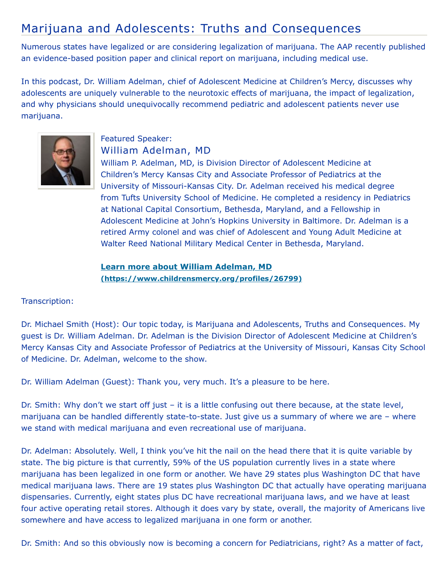## Marijuana and Adolescents: Truths and Consequences

Numerous states have legalized or are considering legalization of marijuana. The AAP recently published an evidence-based position paper and clinical report on marijuana, including medical use.

In this podcast, Dr. William Adelman, chief of Adolescent Medicine at Children's Mercy, discusses why adolescents are uniquely vulnerable to the neurotoxic effects of marijuana, the impact of legalization, and why physicians should unequivocally recommend pediatric and adolescent patients never use marijuana.



## Featured Speaker: William Adelman, MD

William P. Adelman, MD, is Division Director of Adolescent Medicine at Children's Mercy Kansas City and Associate Professor of Pediatrics at the University of Missouri-Kansas City. Dr. Adelman received his medical degree from Tufts University School of Medicine. He completed a residency in Pediatrics at National Capital Consortium, Bethesda, Maryland, and a Fellowship in Adolescent Medicine at John's Hopkins University in Baltimore. Dr. Adelman is a retired Army colonel and was chief of Adolescent and Young Adult Medicine at Walter Reed National Military Medical Center in Bethesda, Maryland.

**Learn more about William Adelman, MD [\(https://www.childrensmercy.org/profiles/26799\)](https://www.childrensmercy.org/profiles/26799)**

## Transcription:

Dr. Michael Smith (Host): Our topic today, is Marijuana and Adolescents, Truths and Consequences. My guest is Dr. William Adelman. Dr. Adelman is the Division Director of Adolescent Medicine at Children's Mercy Kansas City and Associate Professor of Pediatrics at the University of Missouri, Kansas City School of Medicine. Dr. Adelman, welcome to the show.

Dr. William Adelman (Guest): Thank you, very much. It's a pleasure to be here.

Dr. Smith: Why don't we start off just – it is a little confusing out there because, at the state level, marijuana can be handled differently state-to-state. Just give us a summary of where we are – where we stand with medical marijuana and even recreational use of marijuana.

Dr. Adelman: Absolutely. Well, I think you've hit the nail on the head there that it is quite variable by state. The big picture is that currently, 59% of the US population currently lives in a state where marijuana has been legalized in one form or another. We have 29 states plus Washington DC that have medical marijuana laws. There are 19 states plus Washington DC that actually have operating marijuana dispensaries. Currently, eight states plus DC have recreational marijuana laws, and we have at least four active operating retail stores. Although it does vary by state, overall, the majority of Americans live somewhere and have access to legalized marijuana in one form or another.

Dr. Smith: And so this obviously now is becoming a concern for Pediatricians, right? As a matter of fact,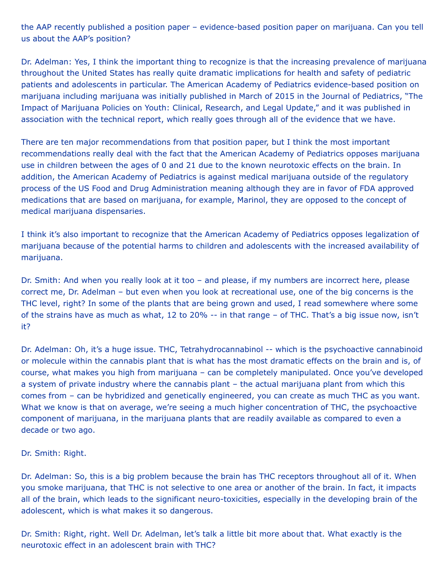the AAP recently published a position paper – evidence-based position paper on marijuana. Can you tell us about the AAP's position?

Dr. Adelman: Yes, I think the important thing to recognize is that the increasing prevalence of marijuana throughout the United States has really quite dramatic implications for health and safety of pediatric patients and adolescents in particular. The American Academy of Pediatrics evidence-based position on marijuana including marijuana was initially published in March of 2015 in the Journal of Pediatrics, "The Impact of Marijuana Policies on Youth: Clinical, Research, and Legal Update," and it was published in association with the technical report, which really goes through all of the evidence that we have.

There are ten major recommendations from that position paper, but I think the most important recommendations really deal with the fact that the American Academy of Pediatrics opposes marijuana use in children between the ages of 0 and 21 due to the known neurotoxic effects on the brain. In addition, the American Academy of Pediatrics is against medical marijuana outside of the regulatory process of the US Food and Drug Administration meaning although they are in favor of FDA approved medications that are based on marijuana, for example, Marinol, they are opposed to the concept of medical marijuana dispensaries.

I think it's also important to recognize that the American Academy of Pediatrics opposes legalization of marijuana because of the potential harms to children and adolescents with the increased availability of marijuana.

Dr. Smith: And when you really look at it too – and please, if my numbers are incorrect here, please correct me, Dr. Adelman – but even when you look at recreational use, one of the big concerns is the THC level, right? In some of the plants that are being grown and used, I read somewhere where some of the strains have as much as what, 12 to 20% -- in that range – of THC. That's a big issue now, isn't it?

Dr. Adelman: Oh, it's a huge issue. THC, Tetrahydrocannabinol -- which is the psychoactive cannabinoid or molecule within the cannabis plant that is what has the most dramatic effects on the brain and is, of course, what makes you high from marijuana – can be completely manipulated. Once you've developed a system of private industry where the cannabis plant – the actual marijuana plant from which this comes from – can be hybridized and genetically engineered, you can create as much THC as you want. What we know is that on average, we're seeing a much higher concentration of THC, the psychoactive component of marijuana, in the marijuana plants that are readily available as compared to even a decade or two ago.

Dr. Smith: Right.

Dr. Adelman: So, this is a big problem because the brain has THC receptors throughout all of it. When you smoke marijuana, that THC is not selective to one area or another of the brain. In fact, it impacts all of the brain, which leads to the significant neuro-toxicities, especially in the developing brain of the adolescent, which is what makes it so dangerous.

Dr. Smith: Right, right. Well Dr. Adelman, let's talk a little bit more about that. What exactly is the neurotoxic effect in an adolescent brain with THC?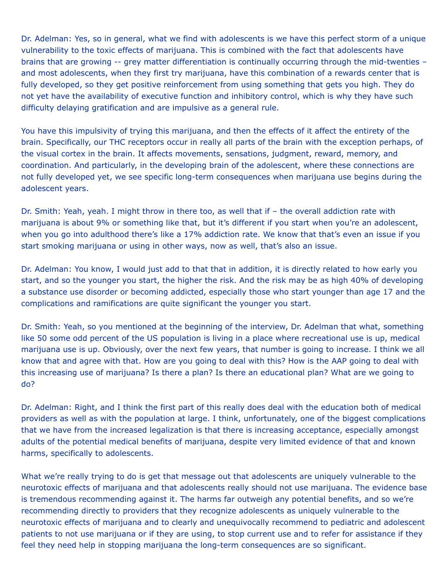Dr. Adelman: Yes, so in general, what we find with adolescents is we have this perfect storm of a unique vulnerability to the toxic effects of marijuana. This is combined with the fact that adolescents have brains that are growing -- grey matter differentiation is continually occurring through the mid-twenties – and most adolescents, when they first try marijuana, have this combination of a rewards center that is fully developed, so they get positive reinforcement from using something that gets you high. They do not yet have the availability of executive function and inhibitory control, which is why they have such difficulty delaying gratification and are impulsive as a general rule.

You have this impulsivity of trying this marijuana, and then the effects of it affect the entirety of the brain. Specifically, our THC receptors occur in really all parts of the brain with the exception perhaps, of the visual cortex in the brain. It affects movements, sensations, judgment, reward, memory, and coordination. And particularly, in the developing brain of the adolescent, where these connections are not fully developed yet, we see specific long-term consequences when marijuana use begins during the adolescent years.

Dr. Smith: Yeah, yeah. I might throw in there too, as well that if – the overall addiction rate with marijuana is about 9% or something like that, but it's different if you start when you're an adolescent, when you go into adulthood there's like a 17% addiction rate. We know that that's even an issue if you start smoking marijuana or using in other ways, now as well, that's also an issue.

Dr. Adelman: You know, I would just add to that that in addition, it is directly related to how early you start, and so the younger you start, the higher the risk. And the risk may be as high 40% of developing a substance use disorder or becoming addicted, especially those who start younger than age 17 and the complications and ramifications are quite significant the younger you start.

Dr. Smith: Yeah, so you mentioned at the beginning of the interview, Dr. Adelman that what, something like 50 some odd percent of the US population is living in a place where recreational use is up, medical marijuana use is up. Obviously, over the next few years, that number is going to increase. I think we all know that and agree with that. How are you going to deal with this? How is the AAP going to deal with this increasing use of marijuana? Is there a plan? Is there an educational plan? What are we going to do?

Dr. Adelman: Right, and I think the first part of this really does deal with the education both of medical providers as well as with the population at large. I think, unfortunately, one of the biggest complications that we have from the increased legalization is that there is increasing acceptance, especially amongst adults of the potential medical benefits of marijuana, despite very limited evidence of that and known harms, specifically to adolescents.

What we're really trying to do is get that message out that adolescents are uniquely vulnerable to the neurotoxic effects of marijuana and that adolescents really should not use marijuana. The evidence base is tremendous recommending against it. The harms far outweigh any potential benefits, and so we're recommending directly to providers that they recognize adolescents as uniquely vulnerable to the neurotoxic effects of marijuana and to clearly and unequivocally recommend to pediatric and adolescent patients to not use marijuana or if they are using, to stop current use and to refer for assistance if they feel they need help in stopping marijuana the long-term consequences are so significant.